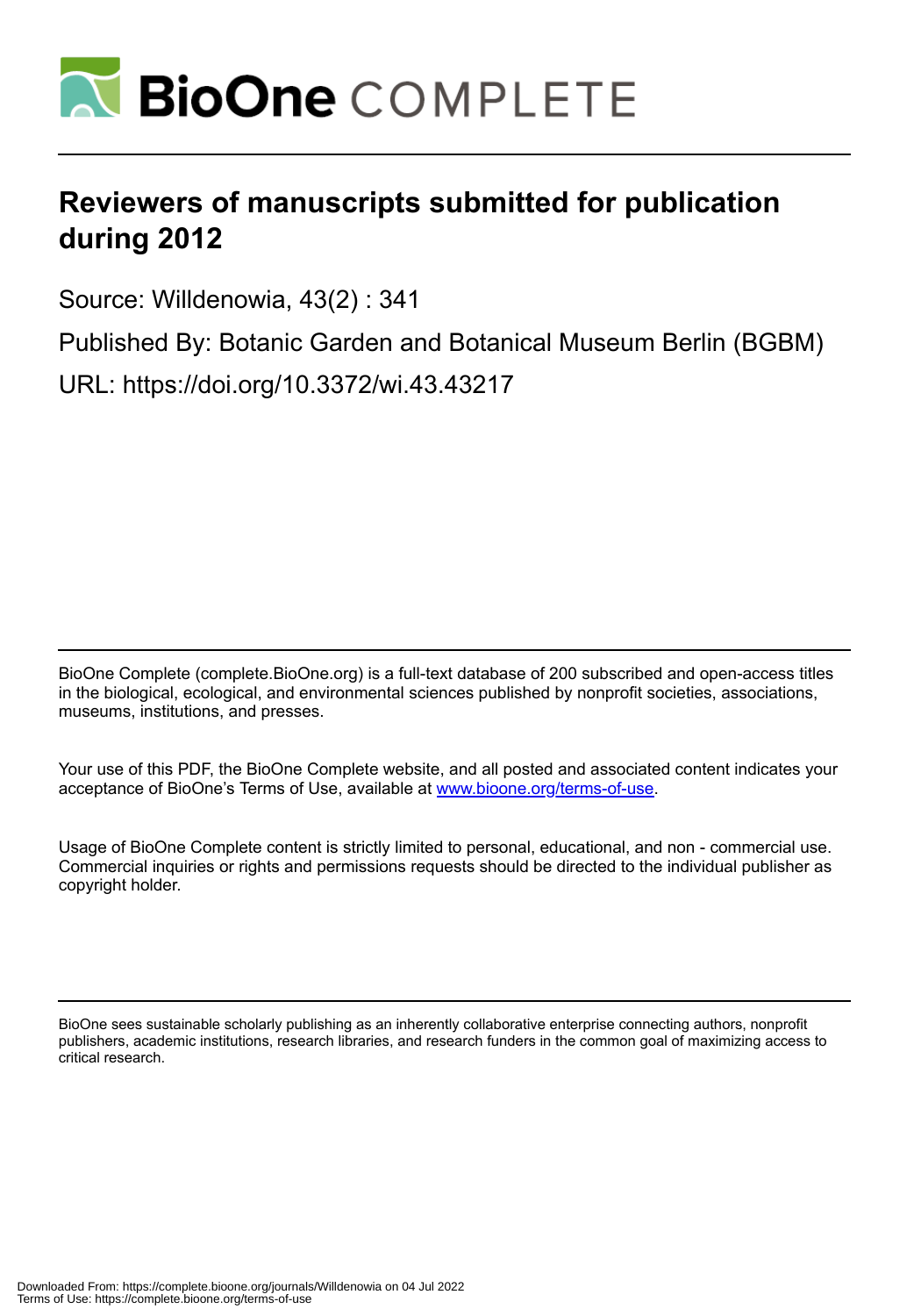

## **Reviewers of manuscripts submitted for publication during 2012**

Source: Willdenowia, 43(2) : 341

Published By: Botanic Garden and Botanical Museum Berlin (BGBM)

URL: https://doi.org/10.3372/wi.43.43217

BioOne Complete (complete.BioOne.org) is a full-text database of 200 subscribed and open-access titles in the biological, ecological, and environmental sciences published by nonprofit societies, associations, museums, institutions, and presses.

Your use of this PDF, the BioOne Complete website, and all posted and associated content indicates your acceptance of BioOne's Terms of Use, available at www.bioone.org/terms-of-use.

Usage of BioOne Complete content is strictly limited to personal, educational, and non - commercial use. Commercial inquiries or rights and permissions requests should be directed to the individual publisher as copyright holder.

BioOne sees sustainable scholarly publishing as an inherently collaborative enterprise connecting authors, nonprofit publishers, academic institutions, research libraries, and research funders in the common goal of maximizing access to critical research.